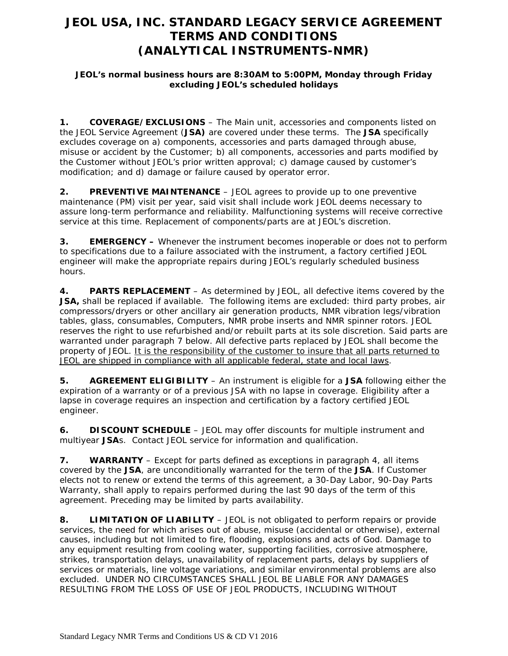# **JEOL USA, INC. STANDARD LEGACY SERVICE AGREEMENT TERMS AND CONDITIONS (ANALYTICAL INSTRUMENTS-NMR)**

### **JEOL's normal business hours are 8:30AM to 5:00PM, Monday through Friday excluding JEOL's scheduled holidays**

**1. COVERAGE/EXCLUSIONS** – The Main unit, accessories and components listed on the JEOL Service Agreement (**JSA)** are covered under these terms. The **JSA** specifically excludes coverage on a) components, accessories and parts damaged through abuse, misuse or accident by the Customer; b) all components, accessories and parts modified by the Customer without JEOL's prior written approval; c) damage caused by customer's modification; and d) damage or failure caused by operator error.

**2. PREVENTIVE MAINTENANCE** – JEOL agrees to provide up to one preventive maintenance (PM) visit per year, said visit shall include work JEOL deems necessary to assure long-term performance and reliability. Malfunctioning systems will receive corrective service at this time. Replacement of components/parts are at JEOL's discretion.

**3. EMERGENCY –** Whenever the instrument becomes inoperable or does not to perform to specifications due to a failure associated with the instrument, a factory certified JEOL engineer will make the appropriate repairs during JEOL's regularly scheduled business hours.

**4. PARTS REPLACEMENT** – As determined by JEOL, all defective items covered by the **JSA,** shall be replaced if available. The following items are excluded: third party probes, air compressors/dryers or other ancillary air generation products, NMR vibration legs/vibration tables, glass, consumables, Computers, NMR probe inserts and NMR spinner rotors. JEOL reserves the right to use refurbished and/or rebuilt parts at its sole discretion. Said parts are warranted under paragraph 7 below. All defective parts replaced by JEOL shall become the property of JEOL. It is the responsibility of the customer to insure that all parts returned to JEOL are shipped in compliance with all applicable federal, state and local laws.

**5. AGREEMENT ELIGIBILITY** – An instrument is eligible for a **JSA** following either the expiration of a warranty or of a previous JSA with no lapse in coverage. Eligibility after a lapse in coverage requires an inspection and certification by a factory certified JEOL engineer.

**6. DISCOUNT SCHEDULE** – JEOL may offer discounts for multiple instrument and multiyear **JSA**s. Contact JEOL service for information and qualification.

**7. WARRANTY** – Except for parts defined as exceptions in paragraph 4, all items covered by the **JSA**, are unconditionally warranted for the term of the **JSA**. If Customer elects not to renew or extend the terms of this agreement, a 30-Day Labor, 90-Day Parts Warranty, shall apply to repairs performed during the last 90 days of the term of this agreement. Preceding may be limited by parts availability.

**8. LIMITATION OF LIABILITY** – JEOL is not obligated to perform repairs or provide services, the need for which arises out of abuse, misuse (accidental or otherwise), external causes, including but not limited to fire, flooding, explosions and acts of God. Damage to any equipment resulting from cooling water, supporting facilities, corrosive atmosphere, strikes, transportation delays, unavailability of replacement parts, delays by suppliers of services or materials, line voltage variations, and similar environmental problems are also excluded. UNDER NO CIRCUMSTANCES SHALL JEOL BE LIABLE FOR ANY DAMAGES RESULTING FROM THE LOSS OF USE OF JEOL PRODUCTS, INCLUDING WITHOUT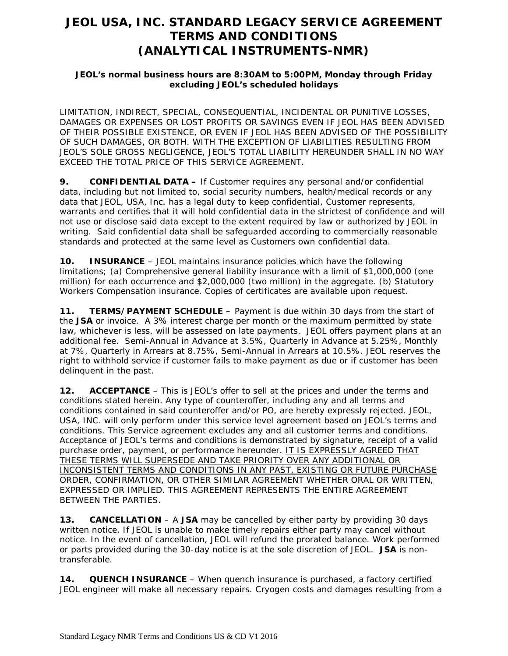# **JEOL USA, INC. STANDARD LEGACY SERVICE AGREEMENT TERMS AND CONDITIONS (ANALYTICAL INSTRUMENTS-NMR)**

### **JEOL's normal business hours are 8:30AM to 5:00PM, Monday through Friday excluding JEOL's scheduled holidays**

LIMITATION, INDIRECT, SPECIAL, CONSEQUENTIAL, INCIDENTAL OR PUNITIVE LOSSES, DAMAGES OR EXPENSES OR LOST PROFITS OR SAVINGS EVEN IF JEOL HAS BEEN ADVISED OF THEIR POSSIBLE EXISTENCE, OR EVEN IF JEOL HAS BEEN ADVISED OF THE POSSIBILITY OF SUCH DAMAGES, OR BOTH. WITH THE EXCEPTION OF LIABILITIES RESULTING FROM JEOL'S SOLE GROSS NEGLIGENCE, JEOL'S TOTAL LIABILITY HEREUNDER SHALL IN NO WAY EXCEED THE TOTAL PRICE OF THIS SERVICE AGREEMENT.

**9. CONFIDENTIAL DATA –** If Customer requires any personal and/or confidential data, including but not limited to, social security numbers, health/medical records or any data that JEOL, USA, Inc. has a legal duty to keep confidential, Customer represents, warrants and certifies that it will hold confidential data in the strictest of confidence and will not use or disclose said data except to the extent required by law or authorized by JEOL in writing. Said confidential data shall be safeguarded according to commercially reasonable standards and protected at the same level as Customers own confidential data.

**10. INSURANCE** – JEOL maintains insurance policies which have the following limitations; (a) Comprehensive general liability insurance with a limit of \$1,000,000 (one million) for each occurrence and \$2,000,000 (two million) in the aggregate. (b) Statutory Workers Compensation insurance. Copies of certificates are available upon request.

**11. TERMS/PAYMENT SCHEDULE –** Payment is due within 30 days from the start of the **JSA** or invoice. A 3% interest charge per month or the maximum permitted by state law, whichever is less, will be assessed on late payments. JEOL offers payment plans at an additional fee. Semi-Annual in Advance at 3.5%, Quarterly in Advance at 5.25%, Monthly at 7%, Quarterly in Arrears at 8.75%, Semi-Annual in Arrears at 10.5%. JEOL reserves the right to withhold service if customer fails to make payment as due or if customer has been delinquent in the past.

**12. ACCEPTANCE** – This is JEOL's offer to sell at the prices and under the terms and conditions stated herein. Any type of counteroffer, including any and all terms and conditions contained in said counteroffer and/or PO, are hereby expressly rejected. JEOL, USA, INC. will only perform under this service level agreement based on JEOL's terms and conditions. This Service agreement excludes any and all customer terms and conditions. Acceptance of JEOL's terms and conditions is demonstrated by signature, receipt of a valid purchase order, payment, or performance hereunder. IT IS EXPRESSLY AGREED THAT THESE TERMS WILL SUPERSEDE AND TAKE PRIORITY OVER ANY ADDITIONAL OR INCONSISTENT TERMS AND CONDITIONS IN ANY PAST, EXISTING OR FUTURE PURCHASE ORDER, CONFIRMATION, OR OTHER SIMILAR AGREEMENT WHETHER ORAL OR WRITTEN, EXPRESSED OR IMPLIED. THIS AGREEMENT REPRESENTS THE ENTIRE AGREEMENT BETWEEN THE PARTIES.

**13. CANCELLATION** – A **JSA** may be cancelled by either party by providing 30 days written notice. If JEOL is unable to make timely repairs either party may cancel without notice. In the event of cancellation, JEOL will refund the prorated balance. Work performed or parts provided during the 30-day notice is at the sole discretion of JEOL. **JSA** is nontransferable.

**14. QUENCH INSURANCE** – When quench insurance is purchased, a factory certified JEOL engineer will make all necessary repairs. Cryogen costs and damages resulting from a